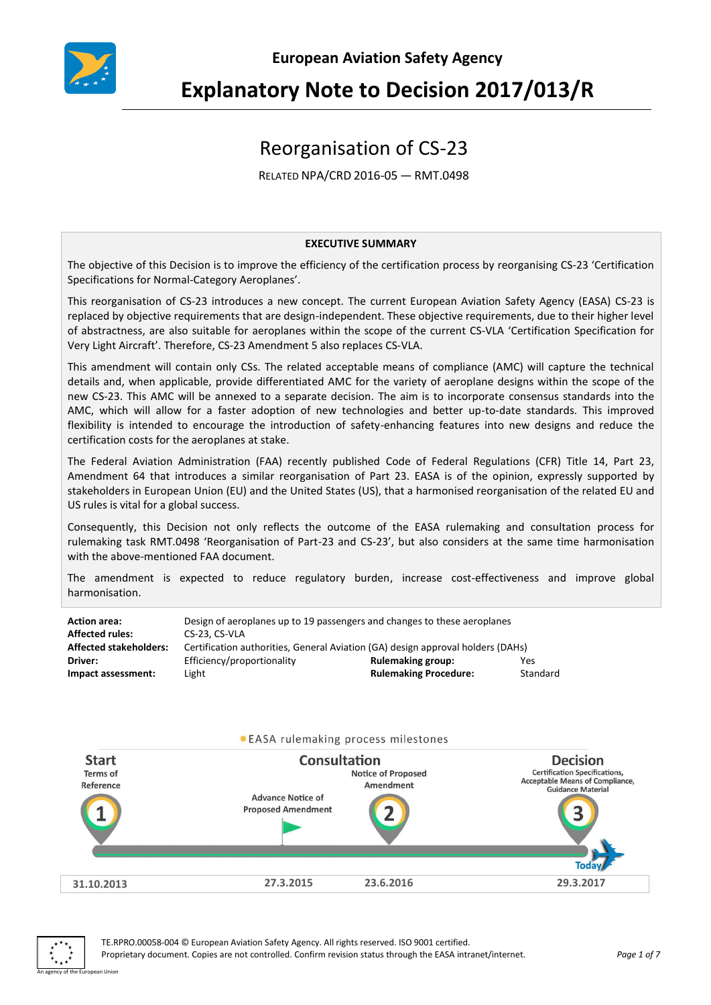

# **Explanatory Note to Decision 2017/013/R**

## Reorganisation of CS-23

RELATED NPA/CRD 2016-05 — RMT.0498

#### **EXECUTIVE SUMMARY**

The objective of this Decision is to improve the efficiency of the certification process by reorganising CS-23 'Certification Specifications for Normal-Category Aeroplanes'.

This reorganisation of CS-23 introduces a new concept. The current European Aviation Safety Agency (EASA) CS-23 is replaced by objective requirements that are design-independent. These objective requirements, due to their higher level of abstractness, are also suitable for aeroplanes within the scope of the current CS-VLA 'Certification Specification for Very Light Aircraft'. Therefore, CS-23 Amendment 5 also replaces CS-VLA.

This amendment will contain only CSs. The related acceptable means of compliance (AMC) will capture the technical details and, when applicable, provide differentiated AMC for the variety of aeroplane designs within the scope of the new CS-23. This AMC will be annexed to a separate decision. The aim is to incorporate consensus standards into the AMC, which will allow for a faster adoption of new technologies and better up-to-date standards. This improved flexibility is intended to encourage the introduction of safety-enhancing features into new designs and reduce the certification costs for the aeroplanes at stake.

The Federal Aviation Administration (FAA) recently published Code of Federal Regulations (CFR) Title 14, Part 23, Amendment 64 that introduces a similar reorganisation of Part 23. EASA is of the opinion, expressly supported by stakeholders in European Union (EU) and the United States (US), that a harmonised reorganisation of the related EU and US rules is vital for a global success.

Consequently, this Decision not only reflects the outcome of the EASA rulemaking and consultation process for rulemaking task RMT.0498 'Reorganisation of Part-23 and CS-23', but also considers at the same time harmonisation with the above-mentioned FAA document.

The amendment is expected to reduce regulatory burden, increase cost-effectiveness and improve global harmonisation.

| <b>Action area:</b><br><b>Affected rules:</b> | Design of aeroplanes up to 19 passengers and changes to these aeroplanes<br>CS-23, CS-VLA |                              |          |
|-----------------------------------------------|-------------------------------------------------------------------------------------------|------------------------------|----------|
| <b>Affected stakeholders:</b>                 | Certification authorities, General Aviation (GA) design approval holders (DAHs)           |                              |          |
| Driver:                                       | Efficiency/proportionality                                                                | <b>Rulemaking group:</b>     | Yes      |
| Impact assessment:                            | Light                                                                                     | <b>Rulemaking Procedure:</b> | Standard |



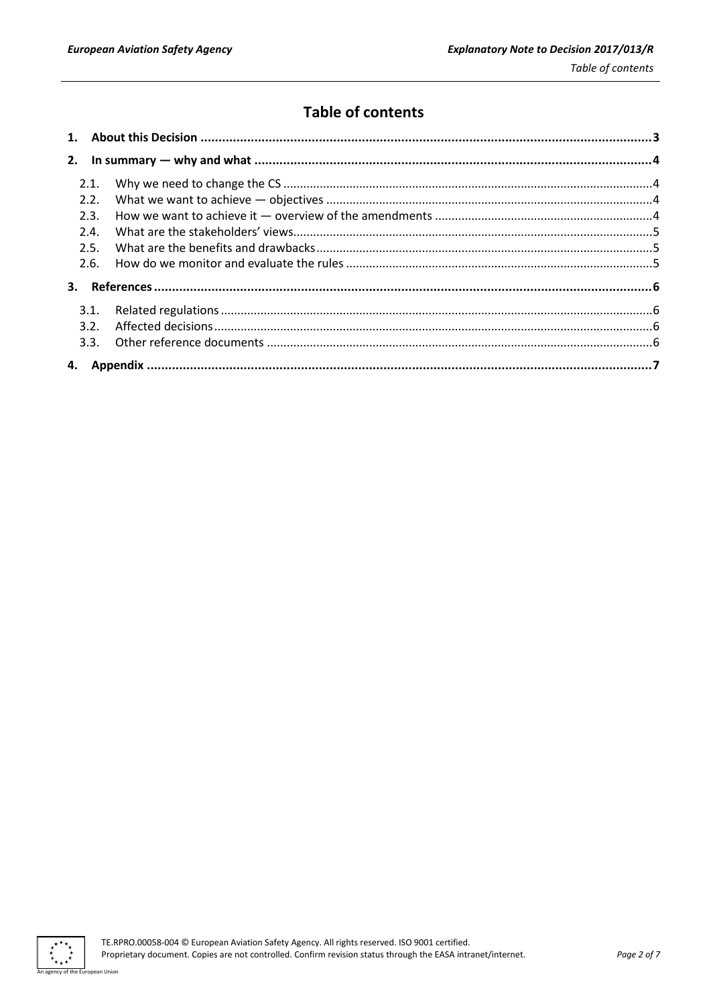## **Table of contents**

| 2.1.         |  |
|--------------|--|
| 2.2.<br>2.3. |  |
| 2.4.         |  |
| 2.5.         |  |
| 2.6.         |  |
|              |  |
| 3.1.         |  |
| 3.2.         |  |
|              |  |
|              |  |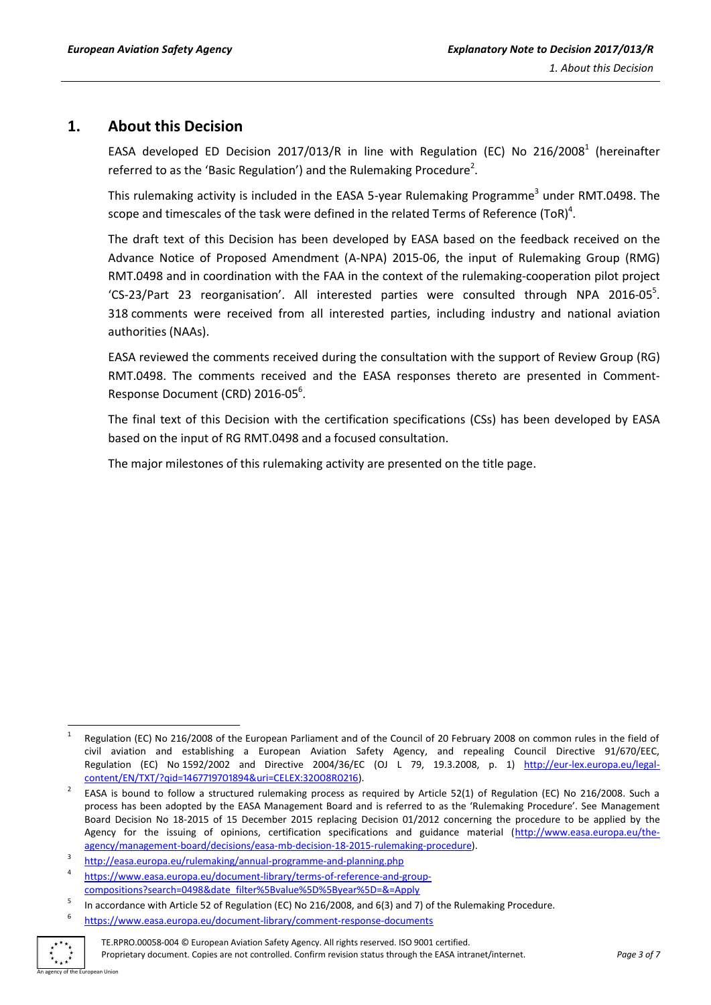## <span id="page-2-0"></span>**1. About this Decision**

EASA developed ED Decision 2017/013/R in line with Regulation (EC) No 216/2008<sup>1</sup> (hereinafter referred to as the 'Basic Regulation') and the Rulemaking Procedure<sup>2</sup>.

This rulemaking activity is included in the EASA 5-year Rulemaking Programme<sup>3</sup> under RMT.0498. The scope and timescales of the task were defined in the related Terms of Reference (ToR)<sup>4</sup>.

The draft text of this Decision has been developed by EASA based on the feedback received on the Advance Notice of Proposed Amendment (A-NPA) 2015-06, the input of Rulemaking Group (RMG) RMT.0498 and in coordination with the FAA in the context of the rulemaking-cooperation pilot project 'CS-23/Part 23 reorganisation'. All interested parties were consulted through NPA 2016-05<sup>5</sup>. 318 comments were received from all interested parties, including industry and national aviation authorities (NAAs).

EASA reviewed the comments received during the consultation with the support of Review Group (RG) RMT.0498. The comments received and the EASA responses thereto are presented in Comment-Response Document (CRD) 2016-05<sup>6</sup>.

The final text of this Decision with the certification specifications (CSs) has been developed by EASA based on the input of RG RMT.0498 and a focused consultation.

The major milestones of this rulemaking activity are presented on the title page.

<https://www.easa.europa.eu/document-library/comment-response-documents>



TE.RPRO.00058-004 © European Aviation Safety Agency. All rights reserved. ISO 9001 certified. Proprietary document. Copies are not controlled. Confirm revision status through the EASA intranet/internet. *Page 3 of 7*

 $\frac{1}{1}$ Regulation (EC) No 216/2008 of the European Parliament and of the Council of 20 February 2008 on common rules in the field of civil aviation and establishing a European Aviation Safety Agency, and repealing Council Directive 91/670/EEC, Regulation (EC) No 1592/2002 and Directive 2004/36/EC (OJ L 79, 19.3.2008, p. 1) http://eur-[lex.europa.eu/legal](http://eur-lex.europa.eu/legal-content/EN/TXT/?qid=1467719701894&uri=CELEX:32008R0216)[content/EN/TXT/?qid=1467719701894&uri=CELEX:32008R0216\)](http://eur-lex.europa.eu/legal-content/EN/TXT/?qid=1467719701894&uri=CELEX:32008R0216).

<sup>2</sup> EASA is bound to follow a structured rulemaking process as required by Article 52(1) of Regulation (EC) No 216/2008. Such a process has been adopted by the EASA Management Board and is referred to as the 'Rulemaking Procedure'. See Management Board Decision No 18-2015 of 15 December 2015 replacing Decision 01/2012 concerning the procedure to be applied by the Agency for the issuing of opinions, certification specifications and guidance material [\(http://www.easa.europa.eu/the](http://www.easa.europa.eu/the-agency/management-board/decisions/easa-mb-decision-18-2015-rulemaking-procedure)[agency/management-board/decisions/easa-mb-decision-18-2015-rulemaking-procedure\).](http://www.easa.europa.eu/the-agency/management-board/decisions/easa-mb-decision-18-2015-rulemaking-procedure)

<sup>3</sup> <http://easa.europa.eu/rulemaking/annual-programme-and-planning.php>

<sup>4</sup> https://www.easa.europa.eu/document-library/terms-of-reference-and-groupcompositions?search=0498&date\_filter%5Bvalue%5D%5Byear%5D=&=Apply

<sup>5</sup> In accordance with Article 52 of Regulation (EC) No 216/2008, and 6(3) and 7) of the Rulemaking Procedure. 6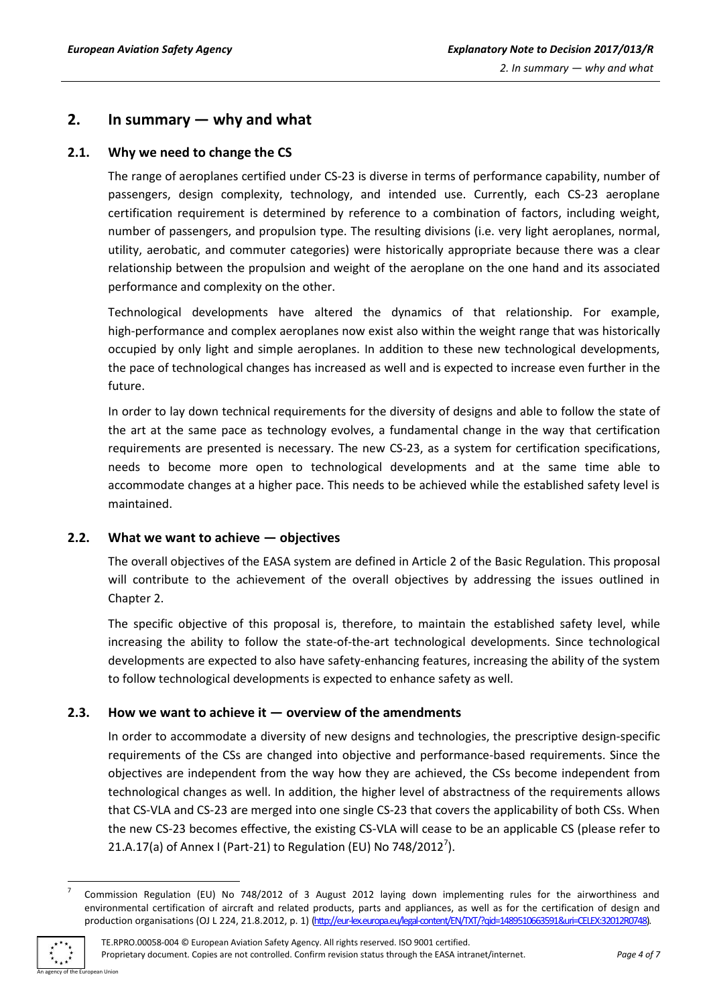## <span id="page-3-0"></span>**2. In summary — why and what**

#### <span id="page-3-1"></span>**2.1. Why we need to change the CS**

The range of aeroplanes certified under CS-23 is diverse in terms of performance capability, number of passengers, design complexity, technology, and intended use. Currently, each CS-23 aeroplane certification requirement is determined by reference to a combination of factors, including weight, number of passengers, and propulsion type. The resulting divisions (i.e. very light aeroplanes, normal, utility, aerobatic, and commuter categories) were historically appropriate because there was a clear relationship between the propulsion and weight of the aeroplane on the one hand and its associated performance and complexity on the other.

Technological developments have altered the dynamics of that relationship. For example, high-performance and complex aeroplanes now exist also within the weight range that was historically occupied by only light and simple aeroplanes. In addition to these new technological developments, the pace of technological changes has increased as well and is expected to increase even further in the future.

In order to lay down technical requirements for the diversity of designs and able to follow the state of the art at the same pace as technology evolves, a fundamental change in the way that certification requirements are presented is necessary. The new CS-23, as a system for certification specifications, needs to become more open to technological developments and at the same time able to accommodate changes at a higher pace. This needs to be achieved while the established safety level is maintained.

#### <span id="page-3-2"></span>**2.2. What we want to achieve — objectives**

The overall objectives of the EASA system are defined in Article 2 of the Basic Regulation. This proposal will contribute to the achievement of the overall objectives by addressing the issues outlined in Chapter 2.

The specific objective of this proposal is, therefore, to maintain the established safety level, while increasing the ability to follow the state-of-the-art technological developments. Since technological developments are expected to also have safety-enhancing features, increasing the ability of the system to follow technological developments is expected to enhance safety as well.

#### <span id="page-3-3"></span>**2.3. How we want to achieve it — overview of the amendments**

In order to accommodate a diversity of new designs and technologies, the prescriptive design-specific requirements of the CSs are changed into objective and performance-based requirements. Since the objectives are independent from the way how they are achieved, the CSs become independent from technological changes as well. In addition, the higher level of abstractness of the requirements allows that CS-VLA and CS-23 are merged into one single CS-23 that covers the applicability of both CSs. When the new CS-23 becomes effective, the existing CS-VLA will cease to be an applicable CS (please refer to 21.A.17(a) of Annex I (Part-21) to Regulation (EU) No 748/2012<sup>7</sup>).

**<sup>.</sup>** 7 Commission Regulation (EU) No 748/2012 of 3 August 2012 laying down implementing rules for the airworthiness and environmental certification of aircraft and related products, parts and appliances, as well as for the certification of design and production organisations (OJ L 224, 21.8.2012, p. 1) [\(http://eur-lex.europa.eu/legal-content/EN/TXT/?qid=1489510663591&uri=CELEX:32012R0748\).](http://eur-lex.europa.eu/legal-content/EN/TXT/?qid=1489510663591&uri=CELEX:32012R0748)

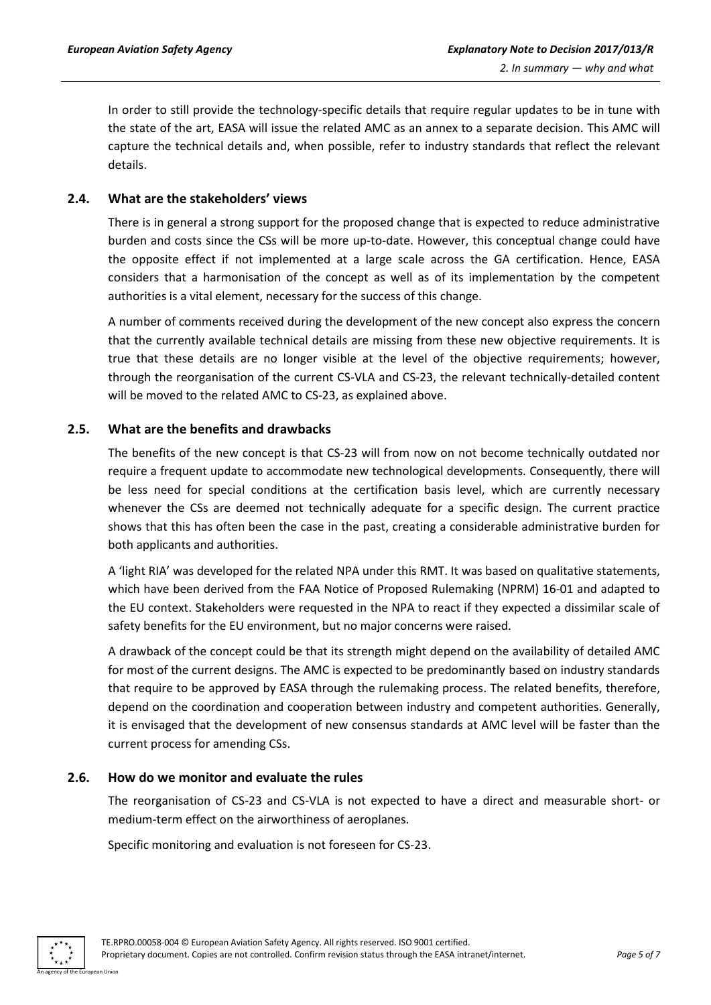In order to still provide the technology-specific details that require regular updates to be in tune with the state of the art, EASA will issue the related AMC as an annex to a separate decision. This AMC will capture the technical details and, when possible, refer to industry standards that reflect the relevant details.

#### <span id="page-4-0"></span>**2.4. What are the stakeholders' views**

There is in general a strong support for the proposed change that is expected to reduce administrative burden and costs since the CSs will be more up-to-date. However, this conceptual change could have the opposite effect if not implemented at a large scale across the GA certification. Hence, EASA considers that a harmonisation of the concept as well as of its implementation by the competent authorities is a vital element, necessary for the success of this change.

A number of comments received during the development of the new concept also express the concern that the currently available technical details are missing from these new objective requirements. It is true that these details are no longer visible at the level of the objective requirements; however, through the reorganisation of the current CS-VLA and CS-23, the relevant technically-detailed content will be moved to the related AMC to CS-23, as explained above.

#### <span id="page-4-1"></span>**2.5. What are the benefits and drawbacks**

The benefits of the new concept is that CS-23 will from now on not become technically outdated nor require a frequent update to accommodate new technological developments. Consequently, there will be less need for special conditions at the certification basis level, which are currently necessary whenever the CSs are deemed not technically adequate for a specific design. The current practice shows that this has often been the case in the past, creating a considerable administrative burden for both applicants and authorities.

A 'light RIA' was developed for the related NPA under this RMT. It was based on qualitative statements, which have been derived from the FAA Notice of Proposed Rulemaking (NPRM) 16-01 and adapted to the EU context. Stakeholders were requested in the NPA to react if they expected a dissimilar scale of safety benefits for the EU environment, but no major concerns were raised.

A drawback of the concept could be that its strength might depend on the availability of detailed AMC for most of the current designs. The AMC is expected to be predominantly based on industry standards that require to be approved by EASA through the rulemaking process. The related benefits, therefore, depend on the coordination and cooperation between industry and competent authorities. Generally, it is envisaged that the development of new consensus standards at AMC level will be faster than the current process for amending CSs.

#### <span id="page-4-2"></span>**2.6. How do we monitor and evaluate the rules**

The reorganisation of CS-23 and CS-VLA is not expected to have a direct and measurable short- or medium-term effect on the airworthiness of aeroplanes.

Specific monitoring and evaluation is not foreseen for CS-23.

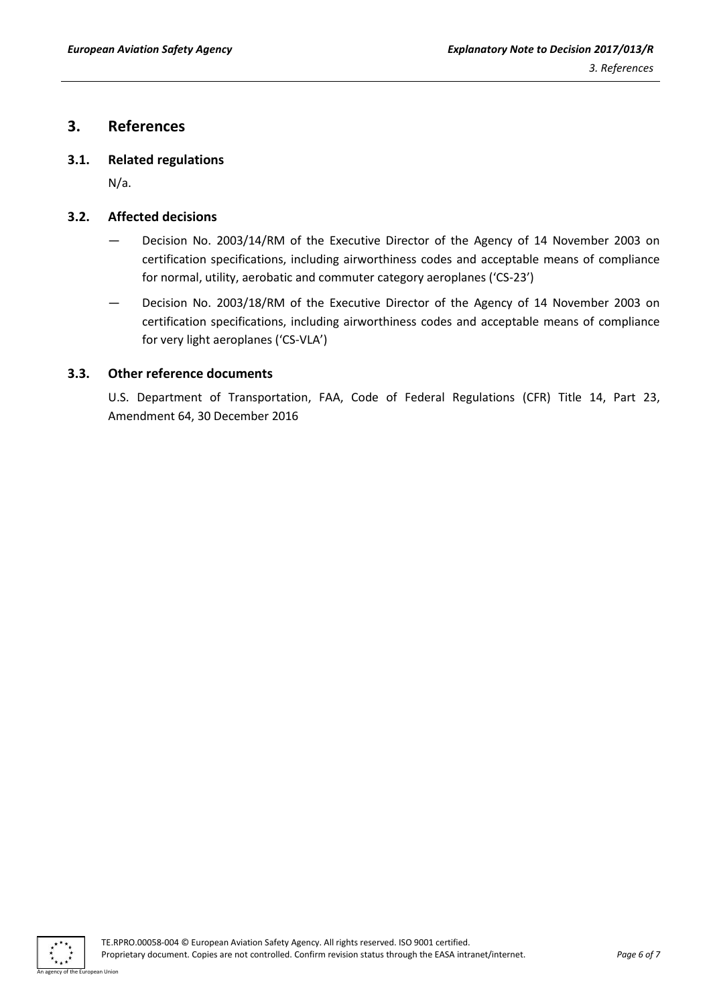## <span id="page-5-0"></span>**3. References**

#### <span id="page-5-1"></span>**3.1. Related regulations**

N/a.

#### <span id="page-5-2"></span>**3.2. Affected decisions**

- Decision No. 2003/14/RM of the Executive Director of the Agency of 14 November 2003 on certification specifications, including airworthiness codes and acceptable means of compliance for normal, utility, aerobatic and commuter category aeroplanes ('CS-23')
- Decision No. 2003/18/RM of the Executive Director of the Agency of 14 November 2003 on certification specifications, including airworthiness codes and acceptable means of compliance for very light aeroplanes ('CS-VLA')

#### <span id="page-5-3"></span>**3.3. Other reference documents**

U.S. Department of Transportation, FAA, Code of Federal Regulations (CFR) Title 14, Part 23, Amendment 64, 30 December 2016